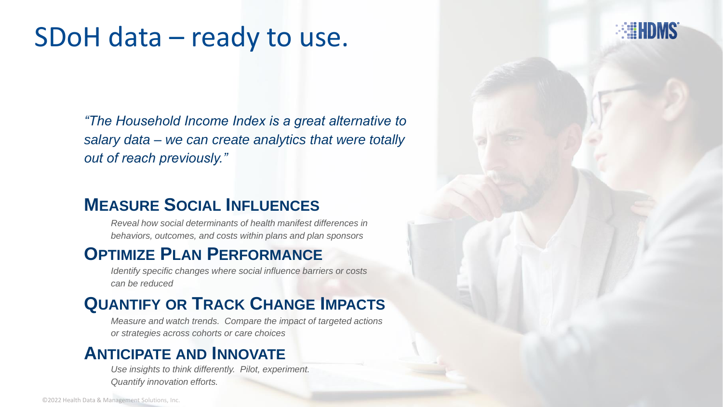## SDoH data – ready to use.

*"The Household Income Index is a great alternative to salary data – we can create analytics that were totally out of reach previously."*

**EEEHDMS** 

#### **MEASURE SOCIAL INFLUENCES**

*Reveal how social determinants of health manifest differences in behaviors, outcomes, and costs within plans and plan sponsors*

#### **OPTIMIZE PLAN PERFORMANCE**

*Identify specific changes where social influence barriers or costs can be reduced*

#### **QUANTIFY OR TRACK CHANGE IMPACTS**

*Measure and watch trends. Compare the impact of targeted actions or strategies across cohorts or care choices*

#### **ANTICIPATE AND INNOVATE**

*Use insights to think differently. Pilot, experiment. Quantify innovation efforts.*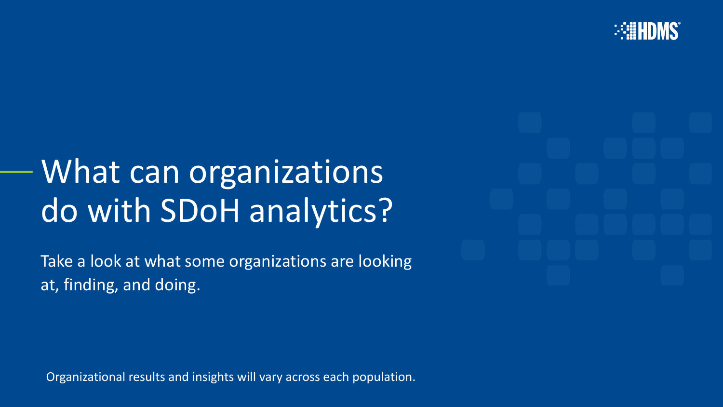

# What can organizations do with SDoH analytics?

Take a look at what some organizations are looking at, finding, and doing.

Organizational results and insights will vary across each population.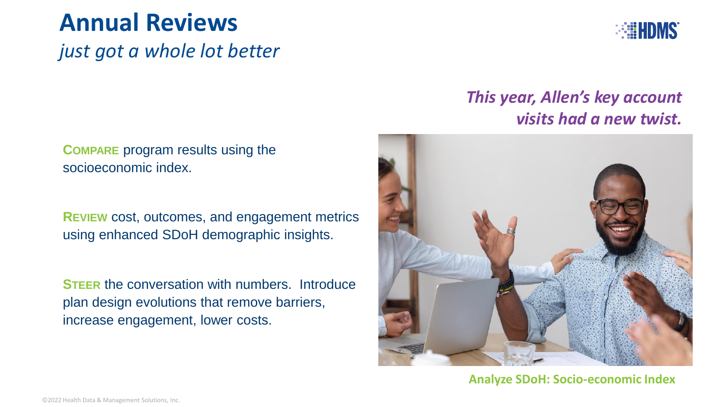### **Annual Reviews**

*just got a whole lot better*

**COMPARE** program results using the socioeconomic index.

**REVIEW** cost, outcomes, and engagement metrics using enhanced SDoH demographic insights.

**STEER** the conversation with numbers. Introduce plan design evolutions that remove barriers, increase engagement, lower costs.



#### *This year, Allen's key account visits had a new twist.*



**Analyze SDoH: Socio-economic Index**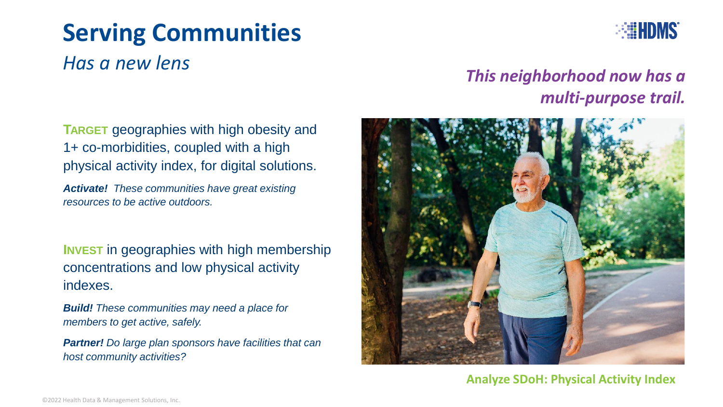# **Serving Communities**



#### *Has a new lens*

#### *This neighborhood now has a multi-purpose trail.*

**TARGET** geographies with high obesity and 1+ co-morbidities, coupled with a high physical activity index, for digital solutions.

*Activate! These communities have great existing resources to be active outdoors.* 

**INVEST** in geographies with high membership concentrations and low physical activity indexes.

*Build! These communities may need a place for members to get active, safely.* 

*Partner! Do large plan sponsors have facilities that can host community activities?* 



#### **Analyze SDoH: Physical Activity Index**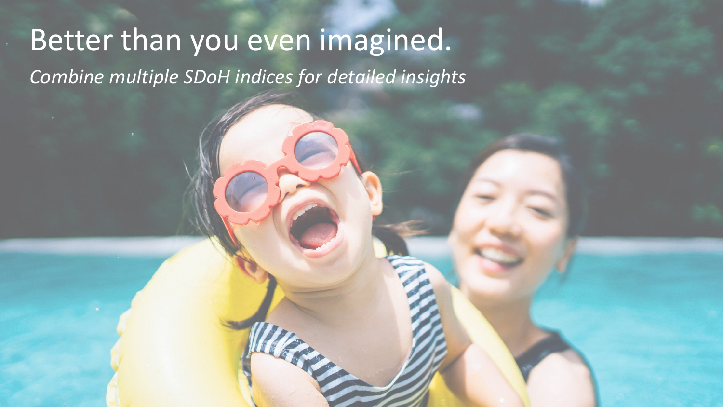# Better than you even imagined. *Combine multiple SDoH indices for detailed insights*

Week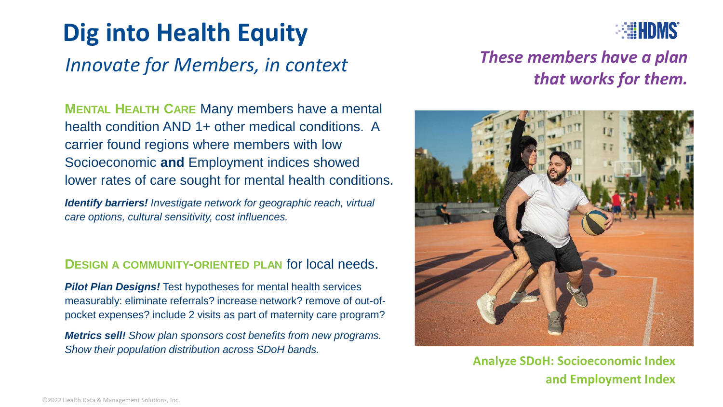# **Dig into Health Equity**

#### *Innovate for Members, in context*

**ERIE HDMS** 

**MENTAL HEALTH CARE** Many members have a mental health condition AND 1+ other medical conditions. A carrier found regions where members with low Socioeconomic **and** Employment indices showed lower rates of care sought for mental health conditions.

*Identify barriers! Investigate network for geographic reach, virtual care options, cultural sensitivity, cost influences.* 

#### **DESIGN A COMMUNITY-ORIENTED PLAN** for local needs.

*Pilot Plan Designs!* Test hypotheses for mental health services measurably: eliminate referrals? increase network? remove of out-ofpocket expenses? include 2 visits as part of maternity care program?

*Metrics sell! Show plan sponsors cost benefits from new programs. Show their population distribution across SDoH bands.*

#### *These members have a plan that works for them.*



**Analyze SDoH: Socioeconomic Index and Employment Index**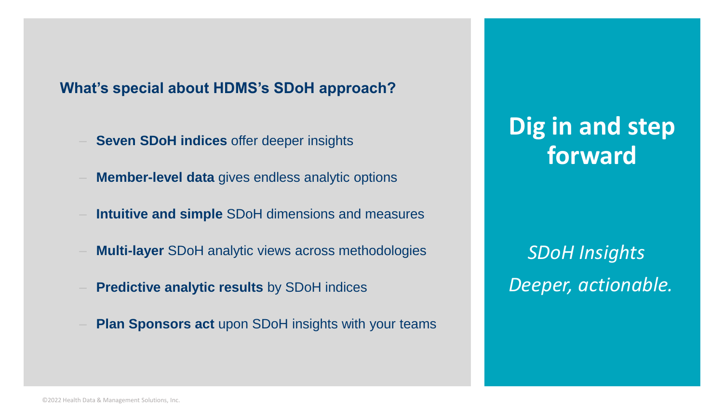#### **What's special about HDMS's SDoH approach?**

- **Seven SDoH indices** offer deeper insights<br> **Forward**
- ‒ **Member-level data** gives endless analytic options
- ‒ **Intuitive and simple** SDoH dimensions and measures
- ‒ **Multi-layer** SDoH analytic views across methodologies
- ‒ **Predictive analytic results** by SDoH indices
- **Plan Sponsors act upon SDoH insights with your teams**

# **Dig in and step**

*SDoH Insights Deeper, actionable.*